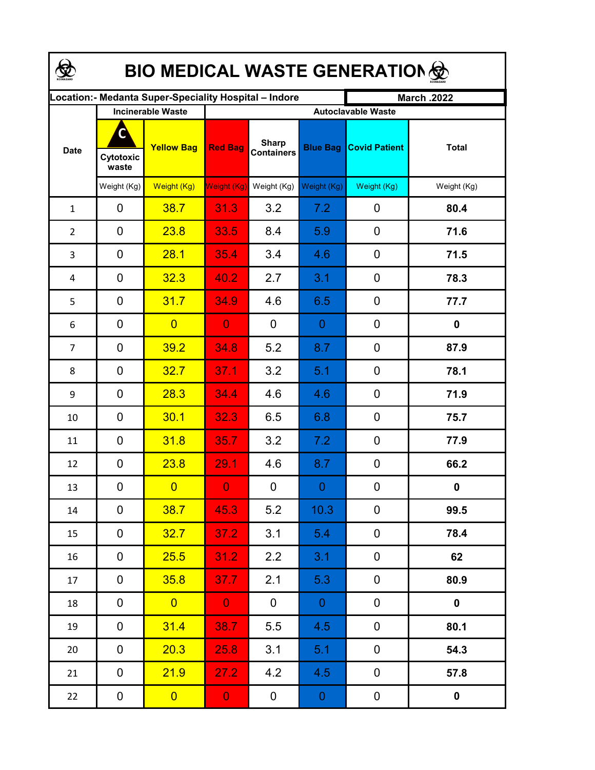| <b>BIO MEDICAL WASTE GENERATION </b> |                          |                                                       |                           |                                   |                 |                      |                  |  |  |  |  |
|--------------------------------------|--------------------------|-------------------------------------------------------|---------------------------|-----------------------------------|-----------------|----------------------|------------------|--|--|--|--|
|                                      |                          | ocation: - Medanta Super-Speciality Hospital - Indore |                           |                                   |                 | <b>March .2022</b>   |                  |  |  |  |  |
|                                      | <b>Incinerable Waste</b> |                                                       | <b>Autoclavable Waste</b> |                                   |                 |                      |                  |  |  |  |  |
| <b>Date</b>                          | C<br>Cytotoxic<br>waste  | <b>Yellow Bag</b>                                     | <b>Red Bag</b>            | <b>Sharp</b><br><b>Containers</b> | <b>Blue Bag</b> | <b>Covid Patient</b> | <b>Total</b>     |  |  |  |  |
|                                      | Weight (Kg)              | Weight (Kg)                                           | <b>Weight (Kg)</b>        | Weight (Kg)                       | Weight (Kg)     | Weight (Kg)          | Weight (Kg)      |  |  |  |  |
| $\mathbf{1}$                         | 0                        | 38.7                                                  | 31.3                      | 3.2                               | 7.2             | 0                    | 80.4             |  |  |  |  |
| $\overline{2}$                       | $\mathbf 0$              | 23.8                                                  | 33.5                      | 8.4                               | 5.9             | 0                    | 71.6             |  |  |  |  |
| 3                                    | 0                        | 28.1                                                  | 35.4                      | 3.4                               | 4.6             | $\mathbf 0$          | 71.5             |  |  |  |  |
| 4                                    | $\mathbf 0$              | 32.3                                                  | 40.2                      | 2.7                               | 3.1             | 0                    | 78.3             |  |  |  |  |
| 5                                    | $\mathbf 0$              | 31.7                                                  | 34.9                      | 4.6                               | 6.5             | 0                    | 77.7             |  |  |  |  |
| 6                                    | $\overline{0}$           | $\overline{0}$                                        | $\overline{0}$            | $\mathbf 0$                       | $\theta$        | $\mathbf 0$          | $\mathbf 0$      |  |  |  |  |
| 7                                    | $\mathbf 0$              | 39.2                                                  | 34.8                      | 5.2                               | 8.7             | 0                    | 87.9             |  |  |  |  |
| 8                                    | 0                        | 32.7                                                  | 37.1                      | 3.2                               | 5.1             | $\mathbf 0$          | 78.1             |  |  |  |  |
| 9                                    | 0                        | 28.3                                                  | 34.4                      | 4.6                               | 4.6             | $\mathbf 0$          | 71.9             |  |  |  |  |
| 10                                   | $\mathbf 0$              | 30.1                                                  | 32.3                      | 6.5                               | 6.8             | $\mathbf 0$          | 75.7             |  |  |  |  |
| 11                                   | $\mathbf 0$              | 31.8                                                  | 35.7                      | 3.2                               | 7.2             | $\mathbf 0$          | 77.9             |  |  |  |  |
| 12                                   | $\mathbf 0$              | 23.8                                                  | 29.1                      | 4.6                               | 8.7             | $\mathbf 0$          | 66.2             |  |  |  |  |
| 13                                   | 0                        | $\overline{0}$                                        | 0                         | $\pmb{0}$                         | $\overline{0}$  | 0                    | $\boldsymbol{0}$ |  |  |  |  |
| 14                                   | 0                        | 38.7                                                  | 45.3                      | 5.2                               | 10.3            | 0                    | 99.5             |  |  |  |  |
| 15                                   | 0                        | 32.7                                                  | 37.2                      | 3.1                               | 5.4             | $\mathbf 0$          | 78.4             |  |  |  |  |
| 16                                   | 0                        | 25.5                                                  | 31.2                      | 2.2                               | 3.1             | $\pmb{0}$            | 62               |  |  |  |  |
| 17                                   | 0                        | 35.8                                                  | 37.7                      | 2.1                               | 5.3             | $\pmb{0}$            | 80.9             |  |  |  |  |
| 18                                   | 0                        | $\overline{0}$                                        | $\mathbf{0}$              | $\overline{0}$                    | $\overline{0}$  | $\pmb{0}$            | $\pmb{0}$        |  |  |  |  |
| 19                                   | 0                        | 31.4                                                  | 38.7                      | 5.5                               | 4.5             | $\pmb{0}$            | 80.1             |  |  |  |  |
| 20                                   | 0                        | 20.3                                                  | 25.8                      | 3.1                               | 5.1             | $\pmb{0}$            | 54.3             |  |  |  |  |
| 21                                   | 0                        | 21.9                                                  | 27.2                      | 4.2                               | 4.5             | $\pmb{0}$            | 57.8             |  |  |  |  |
| 22                                   | $\mathbf 0$              | $\mathbf{0}$                                          | $\mathbf{0}$              | $\mathbf{0}$                      | $\overline{0}$  | $\boldsymbol{0}$     | $\pmb{0}$        |  |  |  |  |